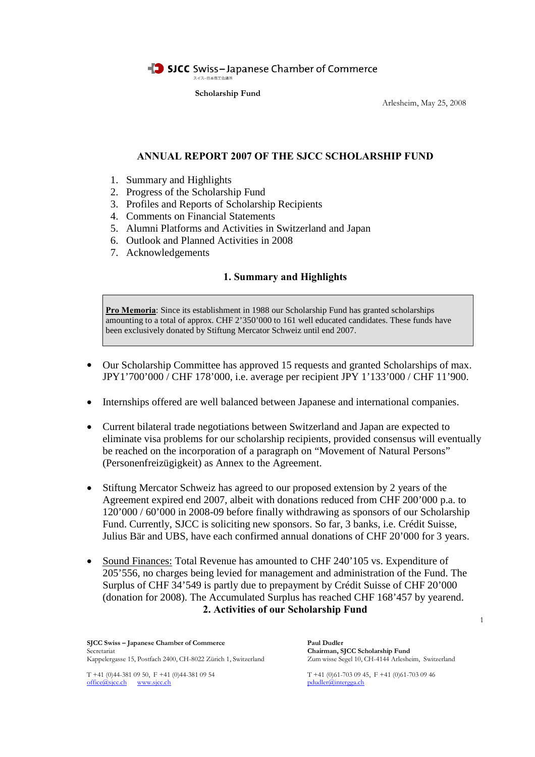

Arlesheim, May 25, 2008

# **ANNUAL REPORT 2007 OF THE SJCC SCHOLARSHIP FUND**

- 1. Summary and Highlights
- 2. Progress of the Scholarship Fund
- 3. Profiles and Reports of Scholarship Recipients
- 4. Comments on Financial Statements
- 5. Alumni Platforms and Activities in Switzerland and Japan
- 6. Outlook and Planned Activities in 2008
- 7. Acknowledgements

## **1. Summary and Highlights**

**Pro Memoria**: Since its establishment in 1988 our Scholarship Fund has granted scholarships amounting to a total of approx. CHF 2'350'000 to 161 well educated candidates. These funds have been exclusively donated by Stiftung Mercator Schweiz until end 2007.

- Our Scholarship Committee has approved 15 requests and granted Scholarships of max. JPY1'700'000 / CHF 178'000, i.e. average per recipient JPY 1'133'000 / CHF 11'900.
- Internships offered are well balanced between Japanese and international companies.
- Current bilateral trade negotiations between Switzerland and Japan are expected to eliminate visa problems for our scholarship recipients, provided consensus will eventually be reached on the incorporation of a paragraph on "Movement of Natural Persons" (Personenfreizügigkeit) as Annex to the Agreement.
- Stiftung Mercator Schweiz has agreed to our proposed extension by 2 years of the Agreement expired end 2007, albeit with donations reduced from CHF 200'000 p.a. to 120'000 / 60'000 in 2008-09 before finally withdrawing as sponsors of our Scholarship Fund. Currently, SJCC is soliciting new sponsors. So far, 3 banks, i.e. Crédit Suisse, Julius Bär and UBS, have each confirmed annual donations of CHF 20'000 for 3 years.
- Sound Finances: Total Revenue has amounted to CHF 240'105 vs. Expenditure of 205'556, no charges being levied for management and administration of the Fund. The Surplus of CHF 34'549 is partly due to prepayment by Crédit Suisse of CHF 20'000 (donation for 2008). The Accumulated Surplus has reached CHF 168'457 by yearend. **2. Activities of our Scholarship Fund**

**SJCC Swiss – Japanese Chamber of Commerce Paul Dudler** Secretariat<br> **Chairman, SJCC Scholarship Fund**<br>
Kappelergasse 15, Postfach 2400, CH-8022 Zürich 1, Switzerland Zum wisse Segel 10, CH-4144 Arlesheim, Switzerland Kappelergasse 15, Postfach 2400, CH-8022 Zürich 1, Switzerland

T +41 (0)44-381 09 50, F +41 (0)44-381 09 54 T +41 (0)61-703 09 45, F +41 (0)61-703 09 46 office@sjcc.ch www.sjcc.ch pdudler@intergga.ch

1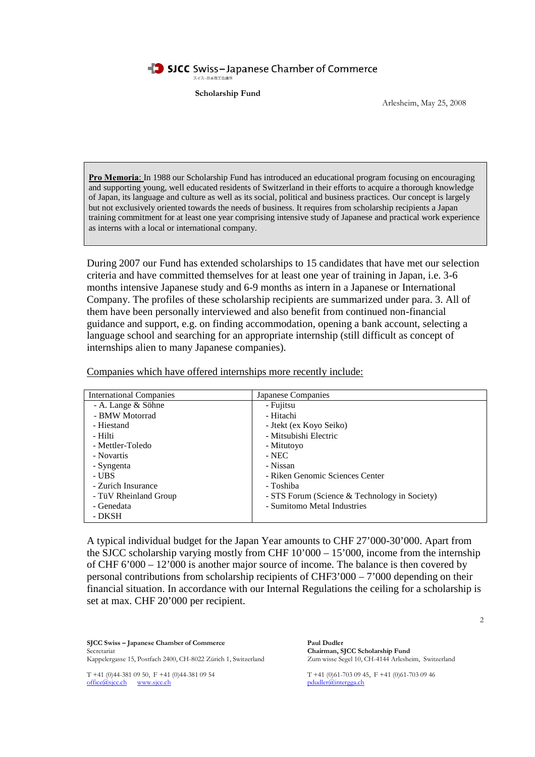SICC Swiss-Japanese Chamber of Commerce スイスー日本商工会議所

**Scholarship Fund**

Arlesheim, May 25, 2008

**Pro Memoria**: In 1988 our Scholarship Fund has introduced an educational program focusing on encouraging and supporting young, well educated residents of Switzerland in their efforts to acquire a thorough knowledge of Japan, its language and culture as well as its social, political and business practices. Our concept is largely but not exclusively oriented towards the needs of business. It requires from scholarship recipients a Japan training commitment for at least one year comprising intensive study of Japanese and practical work experience as interns with a local or international company.

During 2007 our Fund has extended scholarships to 15 candidates that have met our selection criteria and have committed themselves for at least one year of training in Japan, i.e. 3-6 months intensive Japanese study and 6-9 months as intern in a Japanese or International Company. The profiles of these scholarship recipients are summarized under para. 3. All of them have been personally interviewed and also benefit from continued non-financial guidance and support, e.g. on finding accommodation, opening a bank account, selecting a language school and searching for an appropriate internship (still difficult as concept of internships alien to many Japanese companies).

| <b>International Companies</b> | Japanese Companies                            |
|--------------------------------|-----------------------------------------------|
| - A. Lange & Söhne             | - Fujitsu                                     |
| - BMW Motorrad                 | - Hitachi                                     |
| - Hiestand                     | - Jtekt (ex Koyo Seiko)                       |
| - Hilti                        | - Mitsubishi Electric                         |
| - Mettler-Toledo               | - Mitutoyo                                    |
| - Novartis                     | $-NEC$                                        |
| - Syngenta                     | - Nissan                                      |
| - UBS                          | - Riken Genomic Sciences Center               |
| - Zurich Insurance             | - Toshiba                                     |
| - TüV Rheinland Group          | - STS Forum (Science & Technology in Society) |
| - Genedata                     | - Sumitomo Metal Industries                   |
| - DKSH                         |                                               |

Companies which have offered internships more recently include:

A typical individual budget for the Japan Year amounts to CHF 27'000-30'000. Apart from the SJCC scholarship varying mostly from CHF  $10'000 - 15'000$ , income from the internship of CHF 6'000 – 12'000 is another major source of income. The balance is then covered by personal contributions from scholarship recipients of CHF3'000 – 7'000 depending on their financial situation. In accordance with our Internal Regulations the ceiling for a scholarship is set at max. CHF 20'000 per recipient.

**SJCC Swiss – Japanese Chamber of Commerce Paul Dudler** Secretariat<br> **Chairman, SJCC Scholarship Fund**<br>
Kappelergasse 15, Postfach 2400, CH-8022 Zürich 1, Switzerland Zum wisse Segel 10, CH-4144 Arlesheim, Switzerland Kappelergasse 15, Postfach 2400, CH-8022 Zürich 1, Switzerland

T +41 (0)44-381 09 50, F +41 (0)44-381 09 54<br>
office@sjcc.ch<br>
musicc.ch<br>
musicc.ch<br>
musicc.ch<br>
T +41 (0)61-703 09 45, F +41 (0)61-703 09 46 office@sjcc.ch www.sjcc.ch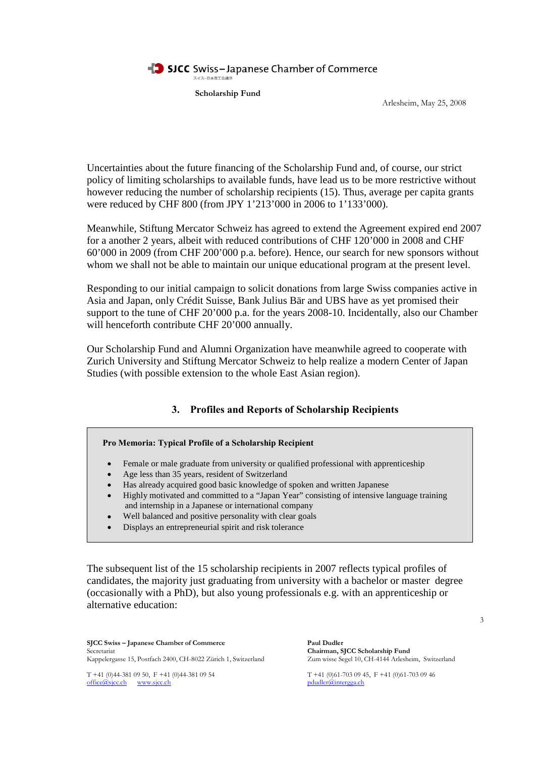

Arlesheim, May 25, 2008

Uncertainties about the future financing of the Scholarship Fund and, of course, our strict policy of limiting scholarships to available funds, have lead us to be more restrictive without however reducing the number of scholarship recipients (15). Thus, average per capita grants were reduced by CHF 800 (from JPY 1'213'000 in 2006 to 1'133'000).

Meanwhile, Stiftung Mercator Schweiz has agreed to extend the Agreement expired end 2007 for a another 2 years, albeit with reduced contributions of CHF 120'000 in 2008 and CHF 60'000 in 2009 (from CHF 200'000 p.a. before). Hence, our search for new sponsors without whom we shall not be able to maintain our unique educational program at the present level.

Responding to our initial campaign to solicit donations from large Swiss companies active in Asia and Japan, only Crédit Suisse, Bank Julius Bär and UBS have as yet promised their support to the tune of CHF 20'000 p.a. for the years 2008-10. Incidentally, also our Chamber will henceforth contribute CHF 20'000 annually.

Our Scholarship Fund and Alumni Organization have meanwhile agreed to cooperate with Zurich University and Stiftung Mercator Schweiz to help realize a modern Center of Japan Studies (with possible extension to the whole East Asian region).

# **3. Profiles and Reports of Scholarship Recipients**

#### **Pro Memoria: Typical Profile of a Scholarship Recipient**

- Female or male graduate from university or qualified professional with apprenticeship
- Age less than 35 years, resident of Switzerland
- Has already acquired good basic knowledge of spoken and written Japanese
- Highly motivated and committed to a "Japan Year" consisting of intensive language training and internship in a Japanese or international company
- Well balanced and positive personality with clear goals
- Displays an entrepreneurial spirit and risk tolerance

The subsequent list of the 15 scholarship recipients in 2007 reflects typical profiles of candidates, the majority just graduating from university with a bachelor or master degree (occasionally with a PhD), but also young professionals e.g. with an apprenticeship or alternative education:

**SJCC Swiss – Japanese Chamber of Commerce Paul Dudler** Secretariat<br> **Chairman, SJCC Scholarship Fund**<br>
Kappelergasse 15, Postfach 2400, CH-8022 Zürich 1, Switzerland Zum wisse Segel 10, CH-4144 Arlesheim, Switzerland Kappelergasse 15, Postfach 2400, CH-8022 Zürich 1, Switzerland

office@sjcc.ch www.sjcc.ch pdudler@intergga.ch

T +41 (0)44-381 09 50, F +41 (0)44-381 09 54 T +41 (0)61-703 09 45, F +41 (0)61-703 09 46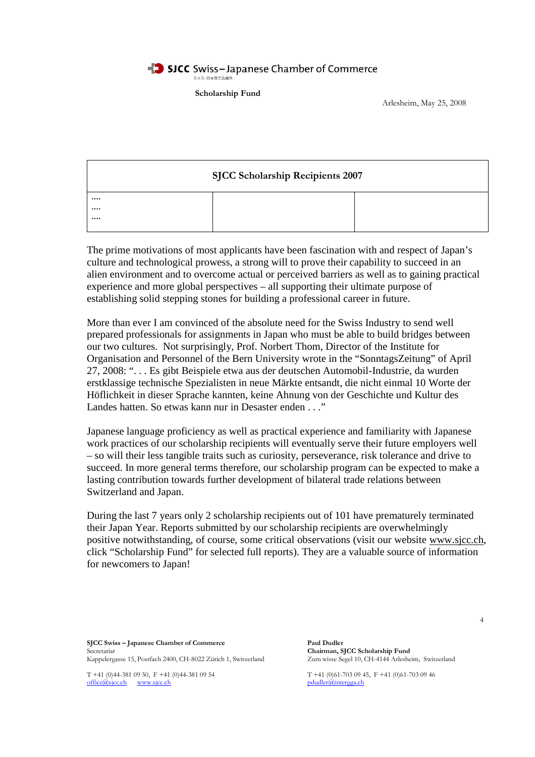#### SICC Swiss-Japanese Chamber of Commerce スイスー日本商工会議所

**Scholarship Fund**

Arlesheim, May 25, 2008

| <b>SJCC Scholarship Recipients 2007</b> |  |  |
|-----------------------------------------|--|--|
|                                         |  |  |
|                                         |  |  |
|                                         |  |  |
|                                         |  |  |

The prime motivations of most applicants have been fascination with and respect of Japan's culture and technological prowess, a strong will to prove their capability to succeed in an alien environment and to overcome actual or perceived barriers as well as to gaining practical experience and more global perspectives – all supporting their ultimate purpose of establishing solid stepping stones for building a professional career in future.

More than ever I am convinced of the absolute need for the Swiss Industry to send well prepared professionals for assignments in Japan who must be able to build bridges between our two cultures. Not surprisingly, Prof. Norbert Thom, Director of the Institute for Organisation and Personnel of the Bern University wrote in the "SonntagsZeitung" of April 27, 2008: ". . . Es gibt Beispiele etwa aus der deutschen Automobil-Industrie, da wurden erstklassige technische Spezialisten in neue Märkte entsandt, die nicht einmal 10 Worte der Höflichkeit in dieser Sprache kannten, keine Ahnung von der Geschichte und Kultur des Landes hatten. So etwas kann nur in Desaster enden . . ."

Japanese language proficiency as well as practical experience and familiarity with Japanese work practices of our scholarship recipients will eventually serve their future employers well – so will their less tangible traits such as curiosity, perseverance, risk tolerance and drive to succeed. In more general terms therefore, our scholarship program can be expected to make a lasting contribution towards further development of bilateral trade relations between Switzerland and Japan.

During the last 7 years only 2 scholarship recipients out of 101 have prematurely terminated their Japan Year. Reports submitted by our scholarship recipients are overwhelmingly positive notwithstanding, of course, some critical observations (visit our website www.sjcc.ch, click "Scholarship Fund" for selected full reports). They are a valuable source of information for newcomers to Japan!

**SJCC Swiss – Japanese Chamber of Commerce Paul Dudler** Secretariat<br> **Chairman, SJCC Scholarship Fund**<br>
Kappelergasse 15, Postfach 2400, CH-8022 Zürich 1, Switzerland Zum wisse Segel 10, CH-4144 Arlesheim, Switzerland Kappelergasse 15, Postfach 2400, CH-8022 Zürich 1, Switzerland

office@sjcc.ch www.sjcc.ch pdudler@intergga.ch

T +41 (0)44-381 09 50, F +41 (0)44-381 09 54 T +41 (0)61-703 09 45, F +41 (0)61-703 09 46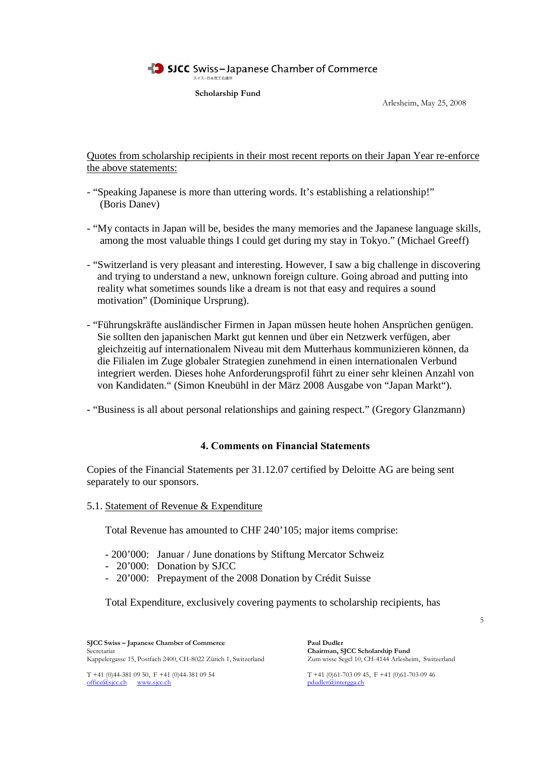#### SJCC Swiss-Japanese Chamber of Commerce スイスー日本商工会議所

**Scholarship Fund**

Arlesheim, May 25, 2008

Quotes from scholarship recipients in their most recent reports on their Japan Year re-enforce the above statements:

- "Speaking Japanese is more than uttering words. It's establishing a relationship!" (Boris Danev)
- "My contacts in Japan will be, besides the many memories and the Japanese language skills, among the most valuable things I could get during my stay in Tokyo." (Michael Greeff)
- "Switzerland is very pleasant and interesting. However, I saw a big challenge in discovering and trying to understand a new, unknown foreign culture. Going abroad and putting into reality what sometimes sounds like a dream is not that easy and requires a sound motivation" (Dominique Ursprung).
- "Führungskräfte ausländischer Firmen in Japan müssen heute hohen Ansprüchen genügen. Sie sollten den japanischen Markt gut kennen und über ein Netzwerk verfügen, aber gleichzeitig auf internationalem Niveau mit dem Mutterhaus kommunizieren können, da die Filialen im Zuge globaler Strategien zunehmend in einen internationalen Verbund integriert werden. Dieses hohe Anforderungsprofil führt zu einer sehr kleinen Anzahl von von Kandidaten." (Simon Kneubühl in der März 2008 Ausgabe von "Japan Markt").
- "Business is all about personal relationships and gaining respect." (Gregory Glanzmann)

# **4. Comments on Financial Statements**

Copies of the Financial Statements per 31.12.07 certified by Deloitte AG are being sent separately to our sponsors.

5.1. Statement of Revenue & Expenditure

Total Revenue has amounted to CHF 240'105; major items comprise:

- 200'000: Januar / June donations by Stiftung Mercator Schweiz
- 20'000: Donation by SJCC
- 20'000: Prepayment of the 2008 Donation by Crédit Suisse

Total Expenditure, exclusively covering payments to scholarship recipients, has

**SJCC Swiss – Japanese Chamber of Commerce Paul Dudler** Secretariat<br> **Chairman, SJCC Scholarship Fund**<br>
Kappelergasse 15, Postfach 2400, CH-8022 Zürich 1, Switzerland Zum wisse Segel 10, CH-4144 Arlesheim, Switzerland Kappelergasse 15, Postfach 2400, CH-8022 Zürich 1, Switzerland

office@sjcc.ch www.sjcc.ch pdudler@intergga.ch

T +41 (0)44-381 09 50, F +41 (0)44-381 09 54 T +41 (0)61-703 09 45, F +41 (0)61-703 09 46

5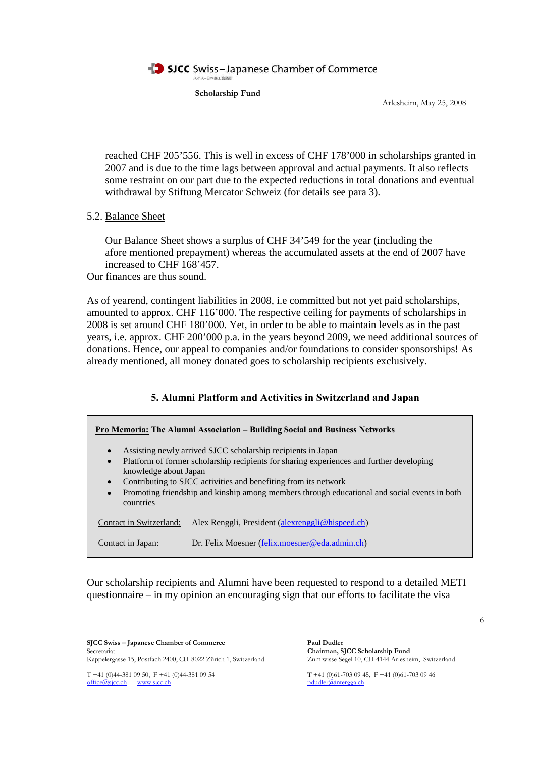

Arlesheim, May 25, 2008

reached CHF 205'556. This is well in excess of CHF 178'000 in scholarships granted in 2007 and is due to the time lags between approval and actual payments. It also reflects some restraint on our part due to the expected reductions in total donations and eventual withdrawal by Stiftung Mercator Schweiz (for details see para 3).

## 5.2. Balance Sheet

Our Balance Sheet shows a surplus of CHF 34'549 for the year (including the afore mentioned prepayment) whereas the accumulated assets at the end of 2007 have increased to CHF 168'457.

Our finances are thus sound.

As of yearend, contingent liabilities in 2008, i.e committed but not yet paid scholarships, amounted to approx. CHF 116'000. The respective ceiling for payments of scholarships in 2008 is set around CHF 180'000. Yet, in order to be able to maintain levels as in the past years, i.e. approx. CHF 200'000 p.a. in the years beyond 2009, we need additional sources of donations. Hence, our appeal to companies and/or foundations to consider sponsorships! As already mentioned, all money donated goes to scholarship recipients exclusively.

# **5. Alumni Platform and Activities in Switzerland and Japan**

|                                                                                                                                                                                                                                                                                                                                                                                                                       | Pro Memoria: The Alumni Association - Building Social and Business Networks |
|-----------------------------------------------------------------------------------------------------------------------------------------------------------------------------------------------------------------------------------------------------------------------------------------------------------------------------------------------------------------------------------------------------------------------|-----------------------------------------------------------------------------|
| Assisting newly arrived SJCC scholarship recipients in Japan<br>$\bullet$<br>Platform of former scholarship recipients for sharing experiences and further developing<br>$\bullet$<br>knowledge about Japan<br>Contributing to SJCC activities and benefiting from its network<br>$\bullet$<br>Promoting friendship and kinship among members through educational and social events in both<br>$\bullet$<br>countries |                                                                             |
| Contact in Switzerland:                                                                                                                                                                                                                                                                                                                                                                                               | Alex Renggli, President (alexrenggli@hispeed.ch)                            |
| Contact in Japan:                                                                                                                                                                                                                                                                                                                                                                                                     | Dr. Felix Moesner (felix.moesner@eda.admin.ch)                              |

Our scholarship recipients and Alumni have been requested to respond to a detailed METI questionnaire – in my opinion an encouraging sign that our efforts to facilitate the visa

**SJCC Swiss – Japanese Chamber of Commerce Paul Dudler** Secretariat<br> **Chairman, SJCC Scholarship Fund**<br>
Kappelergasse 15, Postfach 2400, CH-8022 Zürich 1, Switzerland Zum wisse Segel 10, CH-4144 Arlesheim, Switzerland Kappelergasse 15, Postfach 2400, CH-8022 Zürich 1, Switzerland

office@sjcc.ch www.sjcc.ch pdudler@intergga.ch

T +41 (0)44-381 09 50, F +41 (0)44-381 09 54 T +41 (0)61-703 09 45, F +41 (0)61-703 09 46